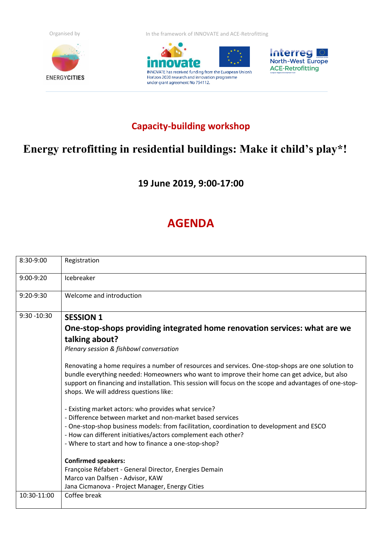



Organised by **In the framework of INNOVATE and ACE-Retrofitting** 





## **Capacity-building workshop**

## **Energy retrofitting in residential buildings: Make it child's play\*!**

**19 June 2019, 9:00-17:00**

## **AGENDA**

| 8:30-9:00      | Registration                                                                                                                                                                                                                                                                                                                                                                                                                                                                                                                                                                                                                                                                                     |
|----------------|--------------------------------------------------------------------------------------------------------------------------------------------------------------------------------------------------------------------------------------------------------------------------------------------------------------------------------------------------------------------------------------------------------------------------------------------------------------------------------------------------------------------------------------------------------------------------------------------------------------------------------------------------------------------------------------------------|
| 9:00-9:20      | Icebreaker                                                                                                                                                                                                                                                                                                                                                                                                                                                                                                                                                                                                                                                                                       |
| 9:20-9:30      | Welcome and introduction                                                                                                                                                                                                                                                                                                                                                                                                                                                                                                                                                                                                                                                                         |
| $9:30 - 10:30$ | <b>SESSION 1</b>                                                                                                                                                                                                                                                                                                                                                                                                                                                                                                                                                                                                                                                                                 |
|                | One-stop-shops providing integrated home renovation services: what are we                                                                                                                                                                                                                                                                                                                                                                                                                                                                                                                                                                                                                        |
|                | talking about?                                                                                                                                                                                                                                                                                                                                                                                                                                                                                                                                                                                                                                                                                   |
|                | Plenary session & fishbowl conversation                                                                                                                                                                                                                                                                                                                                                                                                                                                                                                                                                                                                                                                          |
|                | Renovating a home requires a number of resources and services. One-stop-shops are one solution to<br>bundle everything needed: Homeowners who want to improve their home can get advice, but also<br>support on financing and installation. This session will focus on the scope and advantages of one-stop-<br>shops. We will address questions like:<br>- Existing market actors: who provides what service?<br>- Difference between market and non-market based services<br>- One-stop-shop business models: from facilitation, coordination to development and ESCO<br>- How can different initiatives/actors complement each other?<br>- Where to start and how to finance a one-stop-shop? |
|                | <b>Confirmed speakers:</b><br>Françoise Réfabert - General Director, Energies Demain<br>Marco van Dalfsen - Advisor, KAW<br>Jana Cicmanova - Project Manager, Energy Cities                                                                                                                                                                                                                                                                                                                                                                                                                                                                                                                      |
| 10:30-11:00    | Coffee break                                                                                                                                                                                                                                                                                                                                                                                                                                                                                                                                                                                                                                                                                     |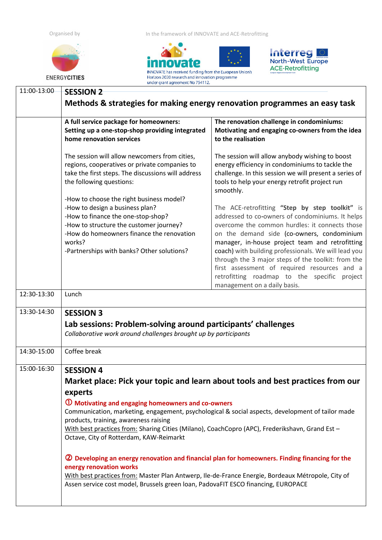

Organised by **In the framework of INNOVATE and ACE-Retrofitting** 





|             | under grant agreement No 754112.                                                                                                                                                                                                                                                                                                                                                                                                                                                                                                                                                                                                                                                                                                                                                                         |                                                                                                                                                                                                                                                                                                                                                                                                                                                                                                     |  |  |
|-------------|----------------------------------------------------------------------------------------------------------------------------------------------------------------------------------------------------------------------------------------------------------------------------------------------------------------------------------------------------------------------------------------------------------------------------------------------------------------------------------------------------------------------------------------------------------------------------------------------------------------------------------------------------------------------------------------------------------------------------------------------------------------------------------------------------------|-----------------------------------------------------------------------------------------------------------------------------------------------------------------------------------------------------------------------------------------------------------------------------------------------------------------------------------------------------------------------------------------------------------------------------------------------------------------------------------------------------|--|--|
| 11:00-13:00 | <b>SESSION 2</b>                                                                                                                                                                                                                                                                                                                                                                                                                                                                                                                                                                                                                                                                                                                                                                                         |                                                                                                                                                                                                                                                                                                                                                                                                                                                                                                     |  |  |
|             | Methods & strategies for making energy renovation programmes an easy task                                                                                                                                                                                                                                                                                                                                                                                                                                                                                                                                                                                                                                                                                                                                |                                                                                                                                                                                                                                                                                                                                                                                                                                                                                                     |  |  |
|             | A full service package for homeowners:<br>Setting up a one-stop-shop providing integrated<br>home renovation services                                                                                                                                                                                                                                                                                                                                                                                                                                                                                                                                                                                                                                                                                    | The renovation challenge in condominiums:<br>Motivating and engaging co-owners from the idea<br>to the realisation                                                                                                                                                                                                                                                                                                                                                                                  |  |  |
|             | The session will allow newcomers from cities,<br>regions, cooperatives or private companies to<br>take the first steps. The discussions will address<br>the following questions:                                                                                                                                                                                                                                                                                                                                                                                                                                                                                                                                                                                                                         | The session will allow anybody wishing to boost<br>energy efficiency in condominiums to tackle the<br>challenge. In this session we will present a series of<br>tools to help your energy retrofit project run<br>smoothly.                                                                                                                                                                                                                                                                         |  |  |
|             | -How to choose the right business model?<br>-How to design a business plan?<br>-How to finance the one-stop-shop?<br>-How to structure the customer journey?<br>-How do homeowners finance the renovation<br>works?<br>-Partnerships with banks? Other solutions?                                                                                                                                                                                                                                                                                                                                                                                                                                                                                                                                        | The ACE-retrofitting "Step by step toolkit" is<br>addressed to co-owners of condominiums. It helps<br>overcome the common hurdles: it connects those<br>on the demand side (co-owners, condominium<br>manager, in-house project team and retrofitting<br>coach) with building professionals. We will lead you<br>through the 3 major steps of the toolkit: from the<br>first assessment of required resources and a<br>retrofitting roadmap to the specific project<br>management on a daily basis. |  |  |
| 12:30-13:30 | Lunch                                                                                                                                                                                                                                                                                                                                                                                                                                                                                                                                                                                                                                                                                                                                                                                                    |                                                                                                                                                                                                                                                                                                                                                                                                                                                                                                     |  |  |
| 13:30-14:30 | <b>SESSION 3</b><br>Lab sessions: Problem-solving around participants' challenges<br>Collaborative work around challenges brought up by participants                                                                                                                                                                                                                                                                                                                                                                                                                                                                                                                                                                                                                                                     |                                                                                                                                                                                                                                                                                                                                                                                                                                                                                                     |  |  |
| 14:30-15:00 | Coffee break                                                                                                                                                                                                                                                                                                                                                                                                                                                                                                                                                                                                                                                                                                                                                                                             |                                                                                                                                                                                                                                                                                                                                                                                                                                                                                                     |  |  |
| 15:00-16:30 | <b>SESSION 4</b><br>Market place: Pick your topic and learn about tools and best practices from our<br>experts<br><b>1</b> Motivating and engaging homeowners and co-owners<br>Communication, marketing, engagement, psychological & social aspects, development of tailor made<br>products, training, awareness raising<br>With best practices from: Sharing Cities (Milano), CoachCopro (APC), Frederikshavn, Grand Est -<br>Octave, City of Rotterdam, KAW-Reimarkt<br><sup>2</sup> Developing an energy renovation and financial plan for homeowners. Finding financing for the<br>energy renovation works<br>With best practices from: Master Plan Antwerp, Ile-de-France Energie, Bordeaux Métropole, City of<br>Assen service cost model, Brussels green loan, PadovaFIT ESCO financing, EUROPACE |                                                                                                                                                                                                                                                                                                                                                                                                                                                                                                     |  |  |